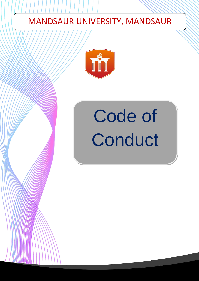# MANDSAUR UNIVERSITY, MANDSAUR



# Code of **Conduct**

0 | P a g e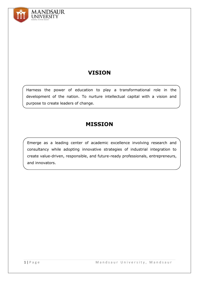

## **VISION**

Harness the power of education to play a transformational role in the development of the nation. To nurture intellectual capital with a vision and purpose to create leaders of change.

### **MISSION**

Emerge as a leading center of academic excellence involving research and consultancy while adopting innovative strategies of industrial integration to create value-driven, responsible, and future-ready professionals, entrepreneurs, and innovators.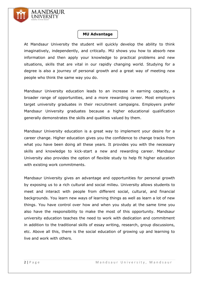

#### **MU Advantage**

At Mandsaur University the student will quickly develop the ability to think imaginatively, independently, and critically. MU shows you how to absorb new information and then apply your knowledge to practical problems and new situations, skills that are vital in our rapidly changing world. Studying for a degree is also a journey of personal growth and a great way of meeting new people who think the same way you do.

Mandsaur University education leads to an increase in earning capacity, a broader range of opportunities, and a more rewarding career. Most employers target university graduates in their recruitment campaigns. Employers prefer Mandsaur University graduates because a higher educational qualification generally demonstrates the skills and qualities valued by them.

Mandsaur University education is a great way to implement your desire for a career change. Higher education gives you the confidence to change tracks from what you have been doing all these years. It provides you with the necessary skills and knowledge to kick-start a new and rewarding career. Mandsaur University also provides the option of flexible study to help fit higher education with existing work commitments.

Mandsaur University gives an advantage and opportunities for personal growth by exposing us to a rich cultural and social milieu. University allows students to meet and interact with people from different social, cultural, and financial backgrounds. You learn new ways of learning things as well as learn a lot of new things. You have control over how and when you study at the same time you also have the responsibility to make the most of this opportunity. Mandsaur university education teaches the need to work with dedication and commitment in addition to the traditional skills of essay writing, research, group discussions, etc. Above all this, there is the social education of growing up and learning to live and work with others.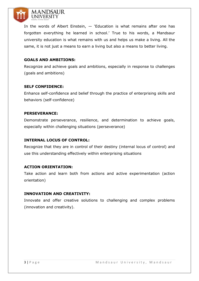

In the words of Albert Einstein,  $-$  'Education is what remains after one has forgotten everything he learned in school.' True to his words, a Mandsaur university education is what remains with us and helps us make a living. All the same, it is not just a means to earn a living but also a means to better living.

#### **GOALS AND AMBITIONS:**

Recognize and achieve goals and ambitions, especially in response to challenges (goals and ambitions)

#### **SELF CONFIDENCE:**

Enhance self-confidence and belief through the practice of enterprising skills and behaviors (self-confidence)

#### **PERSEVERANCE:**

Demonstrate perseverance, resilience, and determination to achieve goals, especially within challenging situations (perseverance)

#### **INTERNAL LOCUS OF CONTROL:**

Recognize that they are in control of their destiny (internal locus of control) and use this understanding effectively within enterprising situations

#### **ACTION ORIENTATION:**

Take action and learn both from actions and active experimentation (action orientation)

#### **INNOVATION AND CREATIVITY:**

Innovate and offer creative solutions to challenging and complex problems (innovation and creativity).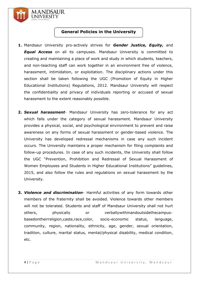

#### **General Policies in the University**

- **1.** Mandsaur University pro-actively strives for *Gender Justice, Equity,* and *Equal Access* on all its campuses. Mandsaur University is committed to creating and maintaining a place of work and study in which students, teachers, and non-teaching staff can work together in an environment free of violence, harassment, intimidation, or exploitation. The disciplinary actions under this section shall be taken following the UGC (Promotion of Equity in Higher Educational Institutions) Regulations, 2012. Mandsaur University will respect the confidentiality and privacy of individuals reporting or accused of sexual harassment to the extent reasonably possible.
- **2.** *Sexual harassment* Mandsaur University has zero-tolerance for any act which falls under the category of sexual harassment. Mandsaur University provides a physical, social, and psychological environment to prevent and raise awareness on any forms of sexual harassment or gender-based violence. The University has developed redressal mechanisms in case any such incident occurs. The University maintains a proper mechanism for filing complaints and follow-up procedures. In case of any such incidents, the University shall follow the UGC "Prevention, Prohibition and Redressal of Sexual Harassment of Women Employees and Students in Higher Educational Institutions" guidelines, 2015, and also follow the rules and regulations on sexual harassment by the University.
- **3.** *Violence and discrimination* Harmful activities of any form towards other members of the fraternity shall be avoided. Violence towards other members will not be tolerated. Students and staff of Mandsaur University shall not hurt others, physically or verballywithinandoutsidethecampusbasedontheirreligion,caste,race,color, socio-economic status, language, community, region, nationality, ethnicity, age, gender, sexual orientation, tradition, culture, marital status, mental/physical disability, medical condition, etc.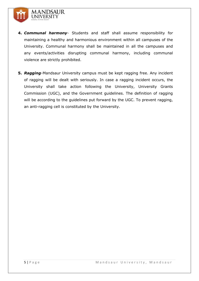

- **4.** *Communal harmony* Students and staff shall assume responsibility for maintaining a healthy and harmonious environment within all campuses of the University. Communal harmony shall be maintained in all the campuses and any events/activities disrupting communal harmony, including communal violence are strictly prohibited.
- **5.** *Ragging*-Mandsaur University campus must be kept ragging free. Any incident of ragging will be dealt with seriously. In case a ragging incident occurs, the University shall take action following the University, University Grants Commission (UGC), and the Government guidelines. The definition of ragging will be according to the guidelines put forward by the UGC. To prevent ragging, an anti-ragging cell is constituted by the University.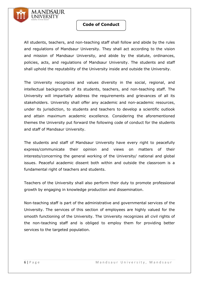

#### **Code of Conduct**

All students, teachers, and non-teaching staff shall follow and abide by the rules and regulations of Mandsaur University. They shall act according to the vision and mission of Mandsaur University, and abide by the statute, ordinances, policies, acts, and regulations of Mandsaur University. The students and staff shall uphold the reputability of the University inside and outside the University.

The University recognizes and values diversity in the social, regional, and intellectual backgrounds of its students, teachers, and non-teaching staff. The University will impartially address the requirements and grievances of all its stakeholders. University shall offer any academic and non-academic resources, under its jurisdiction, to students and teachers to develop a scientific outlook and attain maximum academic excellence. Considering the aforementioned themes the University put forward the following code of conduct for the students and staff of Mandsaur University.

The students and staff of Mandsaur University have every right to peacefully express/communicate their opinion and views on matters of their interests/concerning the general working of the University/ national and global issues. Peaceful academic dissent both within and outside the classroom is a fundamental right of teachers and students.

Teachers of the University shall also perform their duty to promote professional growth by engaging in knowledge production and dissemination.

Non-teaching staff is part of the administrative and governmental services of the University. The services of this section of employees are highly valued for the smooth functioning of the University. The University recognizes all civil rights of the non-teaching staff and is obliged to employ them for providing better services to the targeted population.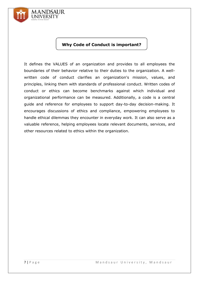

#### **Why Code of Conduct is important?**

It defines the VALUES of an organization and provides to all employees the boundaries of their behavior relative to their duties to the organization. A wellwritten code of conduct clarifies an organization's mission, values, and principles, linking them with standards of professional conduct. Written codes of conduct or ethics can become benchmarks against which individual and organizational performance can be measured. Additionally, a code is a central guide and reference for employees to support day-to-day decision-making. It encourages discussions of ethics and compliance, empowering employees to handle ethical dilemmas they encounter in everyday work. It can also serve as a valuable reference, helping employees locate relevant documents, services, and other resources related to ethics within the organization.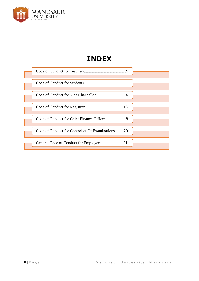

## **INDEX**

| Code of Conduct for Vice Chancellor14            |  |
|--------------------------------------------------|--|
|                                                  |  |
| Code of Conduct for Chief Finance Officer18      |  |
| Code of Conduct for Controller Of Examinations20 |  |
|                                                  |  |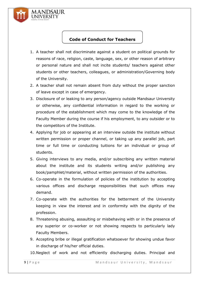

#### **Code of Conduct for Teachers**

- 1. A teacher shall not discriminate against a student on political grounds for reasons of race, religion, caste, language, sex, or other reason of arbitrary or personal nature and shall not incite students/ teachers against other students or other teachers, colleagues, or administration/Governing body of the University.
- 2. A teacher shall not remain absent from duty without the proper sanction of leave except in case of emergency.
- 3. Disclosure of or leaking to any person/agency outside Mandsaur University or otherwise, any confidential information in regard to the working or procedure of the establishment which may come to the knowledge of the Faculty Member during the course if his employment, to any outsider or to the competitors of the Institute.
- 4. Applying for job or appearing at an interview outside the institute without written permission or proper channel, or taking up any parallel job, part time or full time or conducting tuitions for an individual or group of students.
- 5. Giving interviews to any media, and/or subscribing any written material about the institute and its students writing and/or publishing any book/pamphlet/material, without written permission of the authorities.
- 6. Co-operate in the formulation of policies of the institution by accepting various offices and discharge responsibilities that such offices may demand.
- 7. Co-operate with the authorities for the betterment of the University keeping in view the interest and in conformity with the dignity of the profession.
- 8. Threatening abusing, assaulting or misbehaving with or in the presence of any superior or co-worker or not showing respects to particularly lady Faculty Members.
- 9. Accepting bribe or illegal gratification whatsoever for showing undue favor in discharge of his/her official duties.

10.Neglect of work and not efficiently discharging duties. Principal and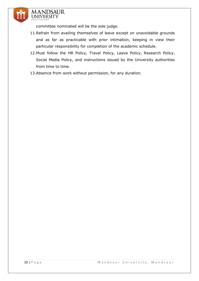

committee nominated will be the sole judge.

- 11.Refrain from availing themselves of leave except on unavoidable grounds and as far as practicable with prior intimation, keeping in view their particular responsibility for completion of the academic schedule.
- 12.Must follow the HR Policy, Travel Policy, Leave Policy, Research Policy, Social Media Policy, and instructions issued by the University authorities from time to time.
- 13.Absence from work without permission, for any duration.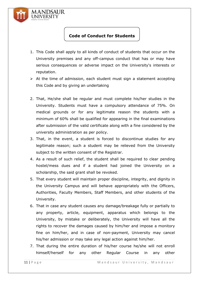

#### **Code of Conduct for Students**

- 1. This Code shall apply to all kinds of conduct of students that occur on the University premises and any off-campus conduct that has or may have serious consequences or adverse impact on the University's interests or reputation.
- $\triangleright$  At the time of admission, each student must sign a statement accepting this Code and by giving an undertaking
- 2. That, He/she shall be regular and must complete his/her studies in the University. Students must have a compulsory attendance of 75%. On medical grounds or for any legitimate reason the students with a minimum of 60% shall be qualified for appearing in the final examinations after submission of the valid certificate along with a fine considered by the university administration as per policy.
- 3. That, in the event, a student is forced to discontinue studies for any legitimate reason; such a student may be relieved from the University subject to the written consent of the Registrar.
- 4. As a result of such relief, the student shall be required to clear pending hostel/mess dues and if a student had joined the University on a scholarship, the said grant shall be revoked.
- 5. That every student will maintain proper discipline, integrity, and dignity in the University Campus and will behave appropriately with the Officers, Authorities, Faculty Members, Staff Members, and other students of the University.
- 6. That in case any student causes any damage/breakage fully or partially to any property, article, equipment, apparatus which belongs to the University, by mistake or deliberately, the University will have all the rights to recover the damages caused by him/her and impose a monitory fine on him/her, and in case of non-payment, University may cancel his/her admission or may take any legal action against him/her.
- 7. That during the entire duration of his/her course he/she will not enroll himself/herself for any other Regular Course in any other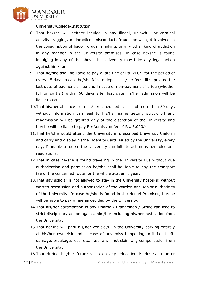

University/College/Institution.

- 8. That he/she will neither indulge in any illegal, unlawful, or criminal activity, ragging, malpractice, misconduct, fraud nor will get involved in the consumption of liquor, drugs, smoking, or any other kind of addiction in any manner in the University premises. In case he/she is found indulging in any of the above the University may take any legal action against him/her.
- 9. That he/she shall be liable to pay a late fine of Rs. 200/- for the period of every 15 days in case he/she fails to deposit his/her fees till stipulated the last date of payment of fee and in case of non-payment of a fee (whether full or partial) within 60 days after last date his/her admission will be liable to cancel.
- 10.That his/her absence from his/her scheduled classes of more than 30 days without information can lead to his/her name getting struck off and readmission will be granted only at the discretion of the University and he/she will be liable to pay Re-Admission fee of Rs. 5,000/-
- 11.That he/she would attend the University in prescribed University Uniform and carry and display his/her Identity Card issued by the University, every day, if unable to do so the University can initiate action as per rules and regulations.
- 12.That in case he/she is found traveling in the University Bus without due authorization and permission he/she shall be liable to pay the transport fee of the concerned route for the whole academic year.
- 13.That day scholar is not allowed to stay in the University hostel(s) without written permission and authorization of the warden and senior authorities of the University. In case he/she is found in the Hostel Premises, he/she will be liable to pay a fine as decided by the University.
- 14.That his/her participation in any Dharna / Pradarshan / Strike can lead to strict disciplinary action against him/her including his/her rustication from the University.
- 15.That he/she will park his/her vehicle(s) in the University parking entirely at his/her own risk and in case of any miss happening to it i.e. theft, damage, breakage, loss, etc. he/she will not claim any compensation from the University.

16.That during his/her future visits on any educational/industrial tour or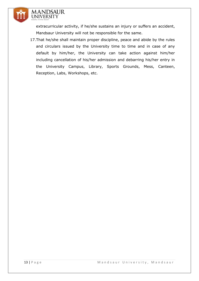

extracurricular activity, if he/she sustains an injury or suffers an accident, Mandsaur University will not be responsible for the same.

17.That he/she shall maintain proper discipline, peace and abide by the rules and circulars issued by the University time to time and in case of any default by him/her, the University can take action against him/her including cancellation of his/her admission and debarring his/her entry in the University Campus, Library, Sports Grounds, Mess, Canteen, Reception, Labs, Workshops, etc.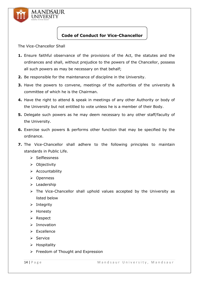

#### **Code of Conduct for Vice-Chancellor**

The Vice-Chancellor Shall

- **1.** Ensure faithful observance of the provisions of the Act, the statutes and the ordinances and shall, without prejudice to the powers of the Chancellor, possess all such powers as may be necessary on that behalf;
- **2.** Be responsible for the maintenance of discipline in the University.
- **3.** Have the powers to convene, meetings of the authorities of the university & committee of which he is the Chairman.
- **4.** Have the right to attend & speak in meetings of any other Authority or body of the University but not entitled to vote unless he is a member of their Body.
- **5.** Delegate such powers as he may deem necessary to any other staff/faculty of the University.
- **6.** Exercise such powers & performs other function that may be specified by the ordinance.
- **7.** The Vice-Chancellor shall adhere to the following principles to maintain standards in Public Life.
	- Selflessness
	- $\triangleright$  Objectivity
	- $\triangleright$  Accountability
	- Openness
	- $\triangleright$  Leadership
	- $\triangleright$  The Vice-Chancellor shall uphold values accepted by the University as listed below
	- $\triangleright$  Integrity
	- Honesty
	- $\triangleright$  Respect
	- $\triangleright$  Innovation
	- $\triangleright$  Excellence
	- $\triangleright$  Service
	- $\triangleright$  Hospitality
	- $\triangleright$  Freedom of Thought and Expression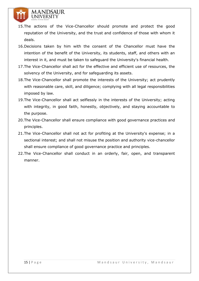

- 15.The actions of the Vice-Chancellor should promote and protect the good reputation of the University, and the trust and confidence of those with whom it deals.
- 16.Decisions taken by him with the consent of the Chancellor must have the intention of the benefit of the University, its students, staff, and others with an interest in it, and must be taken to safeguard the University's financial health.
- 17.The Vice-Chancellor shall act for the effective and efficient use of resources, the solvency of the University, and for safeguarding its assets.
- 18.The Vice-Chancellor shall promote the interests of the University; act prudently with reasonable care, skill, and diligence; complying with all legal responsibilities imposed by law.
- 19.The Vice-Chancellor shall act selflessly in the interests of the University; acting with integrity, in good faith, honestly, objectively, and staying accountable to the purpose.
- 20.The Vice-Chancellor shall ensure compliance with good governance practices and principles.
- 21.The Vice-Chancellor shall not act for profiting at the University's expense; in a sectional interest; and shall not misuse the position and authority vice-chancellor shall ensure compliance of good governance practice and principles.
- 22.The Vice-Chancellor shall conduct in an orderly, fair, open, and transparent manner.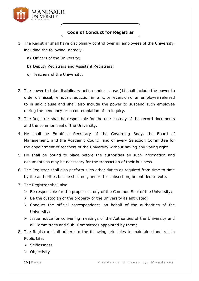

#### **Code of Conduct for Registrar**

- 1. The Registrar shall have disciplinary control over all employees of the University, including the following, namely
	- a) Officers of the University;
	- b) Deputy Registrars and Assistant Registrars;
	- c) Teachers of the University;
- 2. The power to take disciplinary action under clause (1) shall include the power to order dismissal, removal, reduction in rank, or reversion of an employee referred to in said clause and shall also include the power to suspend such employee during the pendency or in contemplation of an inquiry.
- 3. The Registrar shall be responsible for the due custody of the record documents and the common seal of the University.
- 4. He shall be Ex-officio Secretary of the Governing Body, the Board of Management, and the Academic Council and of every Selection Committee for the appointment of teachers of the University without having any voting right.
- 5. He shall be bound to place before the authorities all such information and documents as may be necessary for the transaction of their business.
- 6. The Registrar shall also perform such other duties as required from time to time by the authorities but he shall not, under this subsection, be entitled to vote.
- 7. The Registrar shall also
	- $\triangleright$  Be responsible for the proper custody of the Common Seal of the University;
	- $\triangleright$  Be the custodian of the property of the University as entrusted;
	- $\triangleright$  Conduct the official correspondence on behalf of the authorities of the University;
	- $\triangleright$  Issue notice for convening meetings of the Authorities of the University and all Committees and Sub- Committees appointed by them;
- 8. The Registrar shall adhere to the following principles to maintain standards in Public Life.
	- $\triangleright$  Selflessness
	- $\triangleright$  Objectivity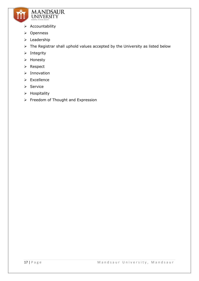

- $\triangleright$  Accountability
- **≻** Openness
- $\triangleright$  Leadership
- $\triangleright$  The Registrar shall uphold values accepted by the University as listed below
- $\triangleright$  Integrity
- > Honesty
- > Respect
- $\triangleright$  Innovation
- $\triangleright$  Excellence
- $\triangleright$  Service
- $\triangleright$  Hospitality
- $\triangleright$  Freedom of Thought and Expression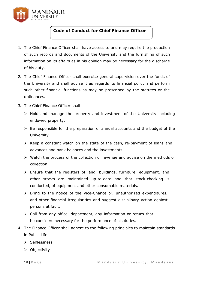

#### **Code of Conduct for Chief Finance Officer**

- 1. The Chief Finance Officer shall have access to and may require the production of such records and documents of the University and the furnishing of such information on its affairs as in his opinion may be necessary for the discharge of his duty.
- 2. The Chief Finance Officer shall exercise general supervision over the funds of the University and shall advise it as regards its financial policy and perform such other financial functions as may be prescribed by the statutes or the ordinances.
- 3. The Chief Finance Officer shall
	- $\triangleright$  Hold and manage the property and investment of the University including endowed property.
	- $\triangleright$  Be responsible for the preparation of annual accounts and the budget of the University.
	- $\triangleright$  Keep a constant watch on the state of the cash, re-payment of loans and advances and bank balances and the investments.
	- $\triangleright$  Watch the process of the collection of revenue and advise on the methods of collection;
	- $\triangleright$  Ensure that the registers of land, buildings, furniture, equipment, and other stocks are maintained up-to-date and that stock-checking is conducted, of equipment and other consumable materials.
	- $\triangleright$  Bring to the notice of the Vice-Chancellor, unauthorized expenditures, and other financial irregularities and suggest disciplinary action against persons at fault.
	- $\triangleright$  Call from any office, department, any information or return that he considers necessary for the performance of his duties.
- 4. The Finance Officer shall adhere to the following principles to maintain standards in Public Life.
	- $\triangleright$  Selflessness
	- $\triangleright$  Objectivity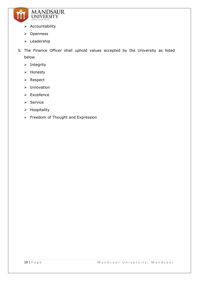

- $\triangleright$  Accountability
- Openness
- > Leadership
- 5. The Finance Officer shall uphold values accepted by the University as listed below
	- $\triangleright$  Integrity
	- > Honesty
	- $\triangleright$  Respect
	- $\triangleright$  Innovation
	- $\triangleright$  Excellence
	- $\triangleright$  Service
	- $\triangleright$  Hospitality
	- > Freedom of Thought and Expression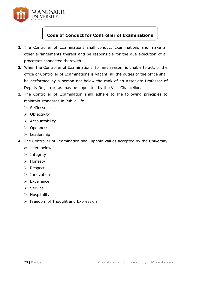

#### **Code of Conduct for Controller of Examinations**

- **1.** The Controller of Examinations shall conduct Examinations and make all other arrangements thereof and be responsible for the due execution of all processes connected therewith.
- **2.** When the Controller of Examinations, for any reason, is unable to act, or the office of Controller of Examinations is vacant, all the duties of the office shall be performed by a person not below the rank of an Associate Professor of Deputy Registrar, as may be appointed by the Vice-Chancellor.
- **3.** The Controller of Examination shall adhere to the following principles to maintain standards in Public Life:
	- $\triangleright$  Selflessness
	- $\triangleright$  Objectivity
	- $\triangleright$  Accountability
	- Openness
	- $\triangleright$  Leadership
- **4.** The Controller of Examination shall uphold values accepted by the University as listed below:
	- $\triangleright$  Integrity
	- > Honesty
	- **≻** Respect
	- $\triangleright$  Innovation
	- $\triangleright$  Excellence
	- $\triangleright$  Service
	- $\triangleright$  Hospitality
	- $\triangleright$  Freedom of Thought and Expression